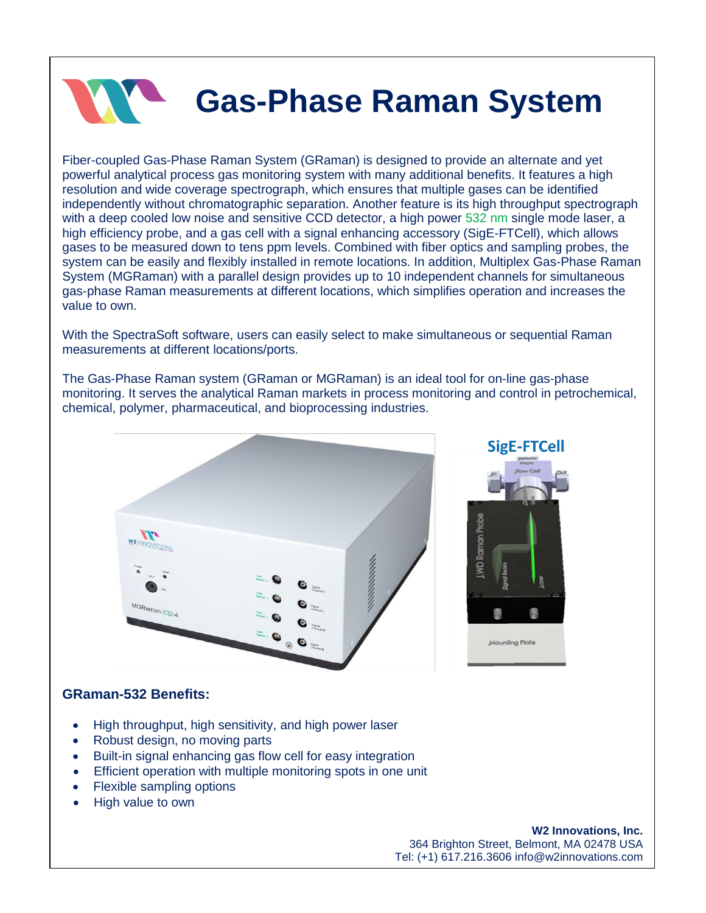

## **Gas-Phase Raman System**

Fiber-coupled Gas-Phase Raman System (GRaman) is designed to provide an alternate and yet powerful analytical process gas monitoring system with many additional benefits. It features a high resolution and wide coverage spectrograph, which ensures that multiple gases can be identified independently without chromatographic separation. Another feature is its high throughput spectrograph with a deep cooled low noise and sensitive CCD detector, a high power 532 nm single mode laser, a high efficiency probe, and a gas cell with a signal enhancing accessory (SigE-FTCell), which allows gases to be measured down to tens ppm levels. Combined with fiber optics and sampling probes, the system can be easily and flexibly installed in remote locations. In addition, Multiplex Gas-Phase Raman System (MGRaman) with a parallel design provides up to 10 independent channels for simultaneous gas-phase Raman measurements at different locations, which simplifies operation and increases the value to own.

With the SpectraSoft software, users can easily select to make simultaneous or sequential Raman measurements at different locations/ports.

The Gas-Phase Raman system (GRaman or MGRaman) is an ideal tool for on-line gas-phase monitoring. It serves the analytical Raman markets in process monitoring and control in petrochemical, chemical, polymer, pharmaceutical, and bioprocessing industries.





## **GRaman-532 Benefits:**

- High throughput, high sensitivity, and high power laser
- Robust design, no moving parts
- Built-in signal enhancing gas flow cell for easy integration
- Efficient operation with multiple monitoring spots in one unit
- Flexible sampling options
- High value to own

**W2 Innovations, Inc.** 364 Brighton Street, Belmont, MA 02478 USA Tel: (+1) 617.216.3606 info@w2innovations.com